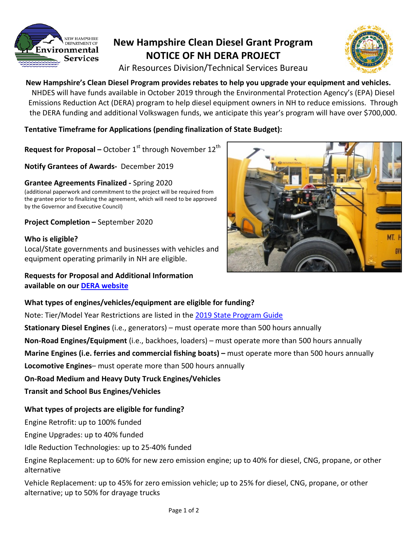

# **New Hampshire Clean Diesel Grant Program NOTICE OF NH DERA PROJECT**



Air Resources Division/Technical Services Bureau

**New Hampshire's Clean Diesel Program provides rebates to help you upgrade your equipment and vehicles.** NHDES will have funds available in October 2019 through the Environmental Protection Agency's (EPA) Diesel Emissions Reduction Act (DERA) program to help diesel equipment owners in NH to reduce emissions. Through the DERA funding and additional Volkswagen funds, we anticipate this year's program will have over \$700,000.

**Tentative Timeframe for Applications (pending finalization of State Budget):**

**Request for Proposal –** October 1<sup>st</sup> through November 12<sup>th</sup>

**Notify Grantees of Awards-** December 2019

### **Grantee Agreements Finalized -** Spring 2020

(additional paperwork and commitment to the project will be required from the grantee prior to finalizing the agreement, which will need to be approved by the Governor and Executive Council)

**Project Completion –** September 2020

### **Who is eligible?**

Local/State governments and businesses with vehicles and equipment operating primarily in NH are eligible.

**Requests for Proposal and Additional Information available on our [DERA website](https://www.des.nh.gov/organization/divisions/air/tsb/tps/msp/diesel-vehicles/dera.htm)**

### **What types of engines/vehicles/equipment are eligible for funding?**

Note: Tier/Model Year Restrictions are listed in the [2019 State Program Guide](https://nepis.epa.gov/Exe/ZyPDF.cgi?Dockey=P100WK7X.pdf)

**Stationary Diesel Engines** (i.e., generators) – must operate more than 500 hours annually

**Non-Road Engines/Equipment** (i.e., backhoes, loaders) – must operate more than 500 hours annually

**Marine Engines (i.e. ferries and commercial fishing boats) –** must operate more than 500 hours annually

**Locomotive Engines**– must operate more than 500 hours annually

# **On-Road Medium and Heavy Duty Truck Engines/Vehicles**

**Transit and School Bus Engines/Vehicles**

# **What types of projects are eligible for funding?**

Engine Retrofit: up to 100% funded

Engine Upgrades: up to 40% funded

Idle Reduction Technologies: up to 25-40% funded

Engine Replacement: up to 60% for new zero emission engine; up to 40% for diesel, CNG, propane, or other alternative

Vehicle Replacement: up to 45% for zero emission vehicle; up to 25% for diesel, CNG, propane, or other alternative; up to 50% for drayage trucks